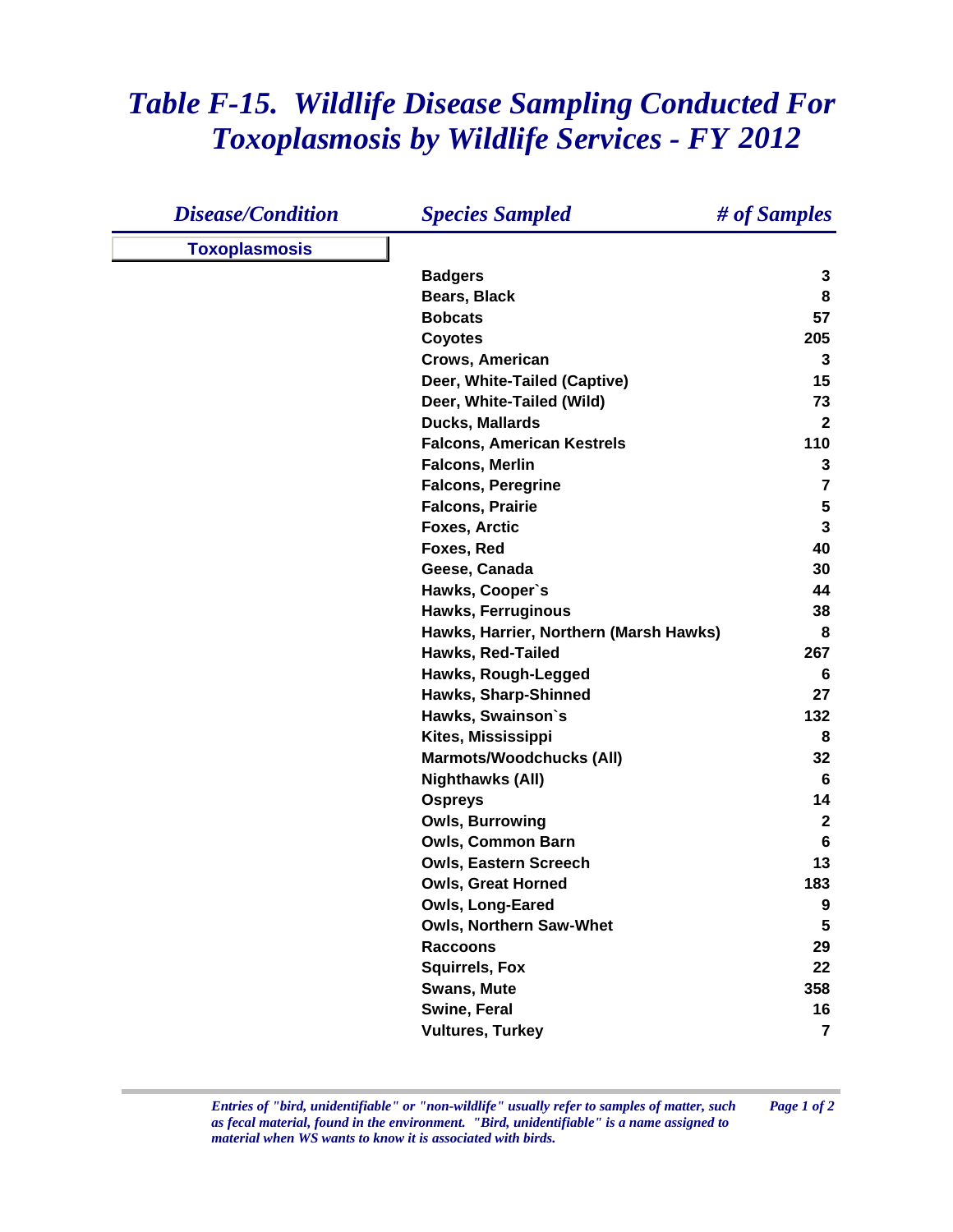## *Table F-15. Wildlife Disease Sampling Conducted For Toxoplasmosis by Wildlife Services - FY 2012*

| <b>Disease/Condition</b> | <b>Species Sampled</b>                 | # of Samples            |
|--------------------------|----------------------------------------|-------------------------|
| <b>Toxoplasmosis</b>     |                                        |                         |
|                          | <b>Badgers</b>                         | 3                       |
|                          | Bears, Black                           | 8                       |
|                          | <b>Bobcats</b>                         | 57                      |
|                          | <b>Coyotes</b>                         | 205                     |
|                          | Crows, American                        | 3                       |
|                          | Deer, White-Tailed (Captive)           | 15                      |
|                          | Deer, White-Tailed (Wild)              | 73                      |
|                          | <b>Ducks, Mallards</b>                 | $\mathbf{2}$            |
|                          | <b>Falcons, American Kestrels</b>      | 110                     |
|                          | <b>Falcons, Merlin</b>                 | 3                       |
|                          | <b>Falcons, Peregrine</b>              | $\overline{\mathbf{7}}$ |
|                          | <b>Falcons, Prairie</b>                | $\sqrt{5}$              |
|                          | <b>Foxes, Arctic</b>                   | $\mathbf{3}$            |
|                          | Foxes, Red                             | 40                      |
|                          | Geese, Canada                          | 30                      |
|                          | Hawks, Cooper's                        | 44                      |
|                          | <b>Hawks, Ferruginous</b>              | 38                      |
|                          | Hawks, Harrier, Northern (Marsh Hawks) | 8                       |
|                          | Hawks, Red-Tailed                      | 267                     |
|                          | Hawks, Rough-Legged                    | 6                       |
|                          | Hawks, Sharp-Shinned                   | 27                      |
|                          | Hawks, Swainson's                      | 132                     |
|                          | Kites, Mississippi                     | 8                       |
|                          | <b>Marmots/Woodchucks (All)</b>        | 32                      |
|                          | <b>Nighthawks (All)</b>                | 6                       |
|                          | <b>Ospreys</b>                         | 14                      |
|                          | <b>Owls, Burrowing</b>                 | $\mathbf{2}$            |
|                          | <b>Owls, Common Barn</b>               | 6                       |
|                          | <b>Owls, Eastern Screech</b>           | 13                      |
|                          | <b>Owls, Great Horned</b>              | 183                     |
|                          | Owls, Long-Eared                       | 9                       |
|                          | <b>Owls, Northern Saw-Whet</b>         | $5\phantom{.0}$         |
|                          | <b>Raccoons</b>                        | 29                      |
|                          | <b>Squirrels, Fox</b>                  | 22                      |
|                          | <b>Swans, Mute</b>                     | 358                     |
|                          | Swine, Feral                           | 16                      |
|                          | <b>Vultures, Turkey</b>                | $\overline{\mathbf{r}}$ |